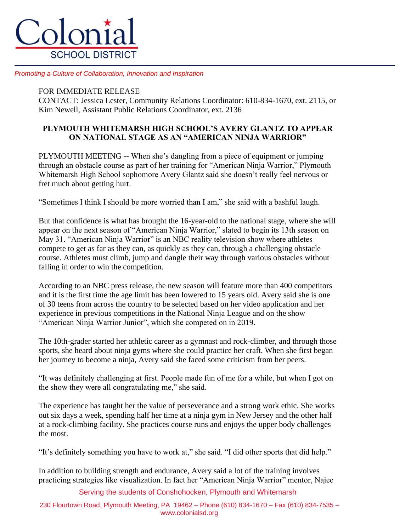

*Promoting a Culture of Collaboration, Innovation and Inspiration*

## FOR IMMEDIATE RELEASE

CONTACT: Jessica Lester, Community Relations Coordinator: 610-834-1670, ext. 2115, or Kim Newell, Assistant Public Relations Coordinator, ext. 2136

## **PLYMOUTH WHITEMARSH HIGH SCHOOL'S AVERY GLANTZ TO APPEAR ON NATIONAL STAGE AS AN "AMERICAN NINJA WARRIOR"**

PLYMOUTH MEETING -- When she's dangling from a piece of equipment or jumping through an obstacle course as part of her training for "American Ninja Warrior," Plymouth Whitemarsh High School sophomore Avery Glantz said she doesn't really feel nervous or fret much about getting hurt.

"Sometimes I think I should be more worried than I am," she said with a bashful laugh.

But that confidence is what has brought the 16-year-old to the national stage, where she will appear on the next season of "American Ninja Warrior," slated to begin its 13th season on May 31. "American Ninja Warrior" is an NBC reality television show where athletes compete to get as far as they can, as quickly as they can, through a challenging obstacle course. Athletes must climb, jump and dangle their way through various obstacles without falling in order to win the competition.

According to an NBC press release, the new season will feature more than 400 competitors and it is the first time the age limit has been lowered to 15 years old. Avery said she is one of 30 teens from across the country to be selected based on her video application and her experience in previous competitions in the National Ninja League and on the show "American Ninja Warrior Junior", which she competed on in 2019.

The 10th-grader started her athletic career as a gymnast and rock-climber, and through those sports, she heard about ninja gyms where she could practice her craft. When she first began her journey to become a ninja, Avery said she faced some criticism from her peers.

"It was definitely challenging at first. People made fun of me for a while, but when I got on the show they were all congratulating me," she said.

The experience has taught her the value of perseverance and a strong work ethic. She works out six days a week, spending half her time at a ninja gym in New Jersey and the other half at a rock-climbing facility. She practices course runs and enjoys the upper body challenges the most.

"It's definitely something you have to work at," she said. "I did other sports that did help."

In addition to building strength and endurance, Avery said a lot of the training involves practicing strategies like visualization. In fact her "American Ninja Warrior" mentor, Najee

Serving the students of Conshohocken, Plymouth and Whitemarsh

230 Flourtown Road, Plymouth Meeting, PA 19462 – Phone (610) 834-1670 – Fax (610) 834-7535 – www.colonialsd.org